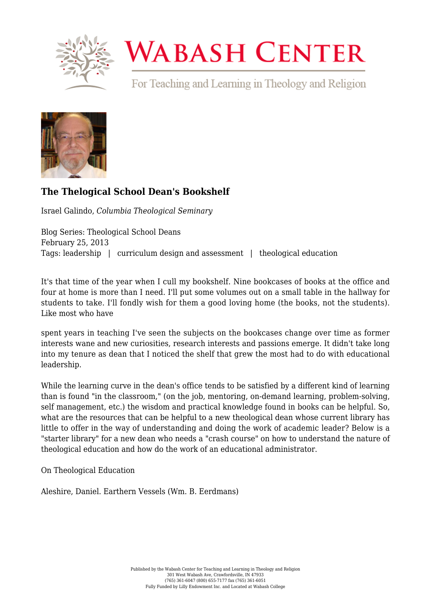

## **WABASH CENTER**

For Teaching and Learning in Theology and Religion



## **[The Thelogical School Dean's Bookshelf](https://www.wabashcenter.wabash.edu/2013/02/the-thelogical-school-deans-bookshelf/)**

Israel Galindo, *Columbia Theological Seminary*

Blog Series: Theological School Deans February 25, 2013 Tags: leadership | curriculum design and assessment | theological education

It's that time of the year when I cull my bookshelf. Nine bookcases of books at the office and four at home is more than I need. I'll put some volumes out on a small table in the hallway for students to take. I'll fondly wish for them a good loving home (the books, not the students). Like most who have

spent years in teaching I've seen the subjects on the bookcases change over time as former interests wane and new curiosities, research interests and passions emerge. It didn't take long into my tenure as dean that I noticed the shelf that grew the most had to do with educational leadership.

While the learning curve in the dean's office tends to be satisfied by a different kind of learning than is found "in the classroom," (on the job, mentoring, on-demand learning, problem-solving, self management, etc.) the wisdom and practical knowledge found in books can be helpful. So, what are the resources that can be helpful to a new theological dean whose current library has little to offer in the way of understanding and doing the work of academic leader? Below is a "starter library" for a new dean who needs a "crash course" on how to understand the nature of theological education and how do the work of an educational administrator.

On Theological Education

Aleshire, Daniel. Earthern Vessels (Wm. B. Eerdmans)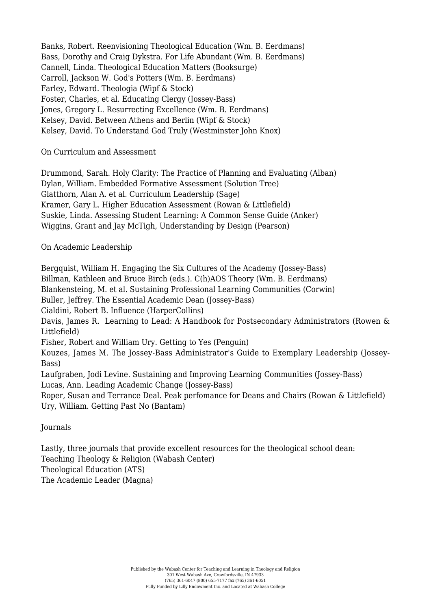Banks, Robert. Reenvisioning Theological Education (Wm. B. Eerdmans) Bass, Dorothy and Craig Dykstra. For Life Abundant (Wm. B. Eerdmans) Cannell, Linda. Theological Education Matters (Booksurge) Carroll, Jackson W. God's Potters (Wm. B. Eerdmans) Farley, Edward. Theologia (Wipf & Stock) Foster, Charles, et al. Educating Clergy (Jossey-Bass) Jones, Gregory L. Resurrecting Excellence (Wm. B. Eerdmans) Kelsey, David. Between Athens and Berlin (Wipf & Stock) Kelsey, David. To Understand God Truly (Westminster John Knox)

On Curriculum and Assessment

Drummond, Sarah. Holy Clarity: The Practice of Planning and Evaluating (Alban) Dylan, William. Embedded Formative Assessment (Solution Tree) Glatthorn, Alan A. et al. Curriculum Leadership (Sage) Kramer, Gary L. Higher Education Assessment (Rowan & Littlefield) Suskie, Linda. Assessing Student Learning: A Common Sense Guide (Anker) Wiggins, Grant and Jay McTigh, Understanding by Design (Pearson)

On Academic Leadership

Bergquist, William H. Engaging the Six Cultures of the Academy (Jossey-Bass) Billman, Kathleen and Bruce Birch (eds.). C(h)AOS Theory (Wm. B. Eerdmans) Blankensteing, M. et al. Sustaining Professional Learning Communities (Corwin) Buller, Jeffrey. The Essential Academic Dean (Jossey-Bass) Cialdini, Robert B. Influence (HarperCollins) Davis, James R. Learning to Lead: A Handbook for Postsecondary Administrators (Rowen & Littlefield) Fisher, Robert and William Ury. Getting to Yes (Penguin) Kouzes, James M. The Jossey-Bass Administrator's Guide to Exemplary Leadership (Jossey-Bass) Laufgraben, Jodi Levine. Sustaining and Improving Learning Communities (Jossey-Bass) Lucas, Ann. Leading Academic Change (Jossey-Bass) Roper, Susan and Terrance Deal. Peak perfomance for Deans and Chairs (Rowan & Littlefield) Ury, William. Getting Past No (Bantam)

Journals

Lastly, three journals that provide excellent resources for the theological school dean: Teaching Theology & Religion (Wabash Center) Theological Education (ATS) The Academic Leader (Magna)